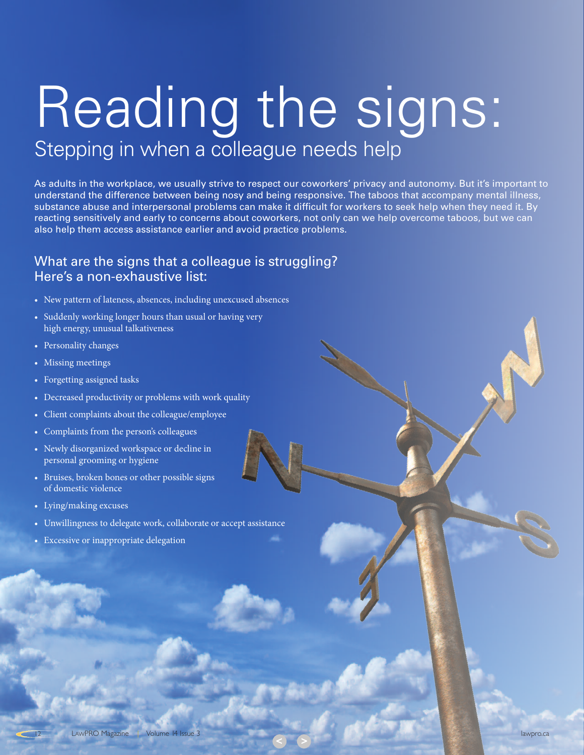# <span id="page-0-0"></span>Stepping in when a colleague needs help Reading the signs:

As adults in the workplace, we usually strive to respect our coworkers' privacy and autonomy. But it's important to understand the difference between being nosy and being responsive. The taboos that accompany mental illness, substance abuse and interpersonal problems can make it difficult for workers to seek help when they need it. By reacting sensitively and early to concerns about coworkers, not only can we help overcome taboos, but we can also help them access assistance earlier and avoid practice problems.

**< [>](#page-1-0)**

#### What are the signs that a colleague is struggling? Here's a non-exhaustive list:

- New pattern of lateness, absences, including unexcused absences
- Suddenly working longer hours than usual or having very high energy, unusual talkativeness
- Personality changes
- Missing meetings
- Forgetting assigned tasks
- Decreased productivity or problems with work quality
- Client complaints about the colleague/employee
- Complaints from the person's colleagues
- Newly disorganized workspace or decline in personal grooming or hygiene
- Bruises, broken bones or other possible signs of domestic violence
- Lying/making excuses
- Unwillingness to delegate work, collaborate or accept assistance
- Excessive or inappropriate delegation